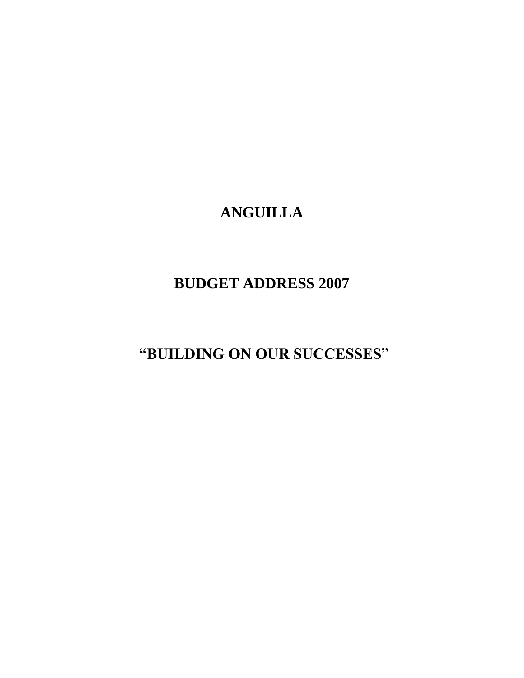# **ANGUILLA**

## **BUDGET ADDRESS 2007**

**"BUILDING ON OUR SUCCESSES**"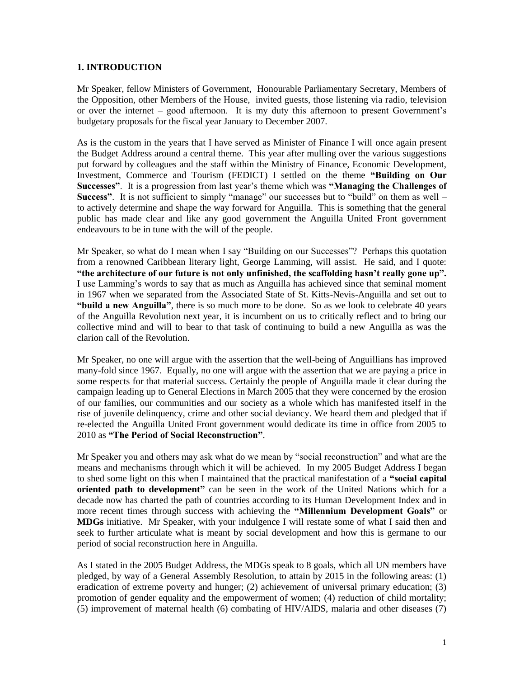#### **1. INTRODUCTION**

Mr Speaker, fellow Ministers of Government, Honourable Parliamentary Secretary, Members of the Opposition, other Members of the House, invited guests, those listening via radio, television or over the internet – good afternoon. It is my duty this afternoon to present Government's budgetary proposals for the fiscal year January to December 2007.

As is the custom in the years that I have served as Minister of Finance I will once again present the Budget Address around a central theme. This year after mulling over the various suggestions put forward by colleagues and the staff within the Ministry of Finance, Economic Development, Investment, Commerce and Tourism (FEDICT) I settled on the theme **"Building on Our Successes"**. It is a progression from last year's theme which was **"Managing the Challenges of Success"**. It is not sufficient to simply "manage" our successes but to "build" on them as well – to actively determine and shape the way forward for Anguilla. This is something that the general public has made clear and like any good government the Anguilla United Front government endeavours to be in tune with the will of the people.

Mr Speaker, so what do I mean when I say "Building on our Successes"? Perhaps this quotation from a renowned Caribbean literary light, George Lamming, will assist. He said, and I quote: **"the architecture of our future is not only unfinished, the scaffolding hasn't really gone up".** I use Lamming's words to say that as much as Anguilla has achieved since that seminal moment in 1967 when we separated from the Associated State of St. Kitts-Nevis-Anguilla and set out to **"build a new Anguilla"**, there is so much more to be done. So as we look to celebrate 40 years of the Anguilla Revolution next year, it is incumbent on us to critically reflect and to bring our collective mind and will to bear to that task of continuing to build a new Anguilla as was the clarion call of the Revolution.

Mr Speaker, no one will argue with the assertion that the well-being of Anguillians has improved many-fold since 1967. Equally, no one will argue with the assertion that we are paying a price in some respects for that material success. Certainly the people of Anguilla made it clear during the campaign leading up to General Elections in March 2005 that they were concerned by the erosion of our families, our communities and our society as a whole which has manifested itself in the rise of juvenile delinquency, crime and other social deviancy. We heard them and pledged that if re-elected the Anguilla United Front government would dedicate its time in office from 2005 to 2010 as **"The Period of Social Reconstruction"**.

Mr Speaker you and others may ask what do we mean by "social reconstruction" and what are the means and mechanisms through which it will be achieved. In my 2005 Budget Address I began to shed some light on this when I maintained that the practical manifestation of a **"social capital oriented path to development"** can be seen in the work of the United Nations which for a decade now has charted the path of countries according to its Human Development Index and in more recent times through success with achieving the **"Millennium Development Goals"** or **MDGs** initiative. Mr Speaker, with your indulgence I will restate some of what I said then and seek to further articulate what is meant by social development and how this is germane to our period of social reconstruction here in Anguilla.

As I stated in the 2005 Budget Address, the MDGs speak to 8 goals, which all UN members have pledged, by way of a General Assembly Resolution, to attain by 2015 in the following areas: (1) eradication of extreme poverty and hunger; (2) achievement of universal primary education; (3) promotion of gender equality and the empowerment of women; (4) reduction of child mortality; (5) improvement of maternal health (6) combating of HIV/AIDS, malaria and other diseases (7)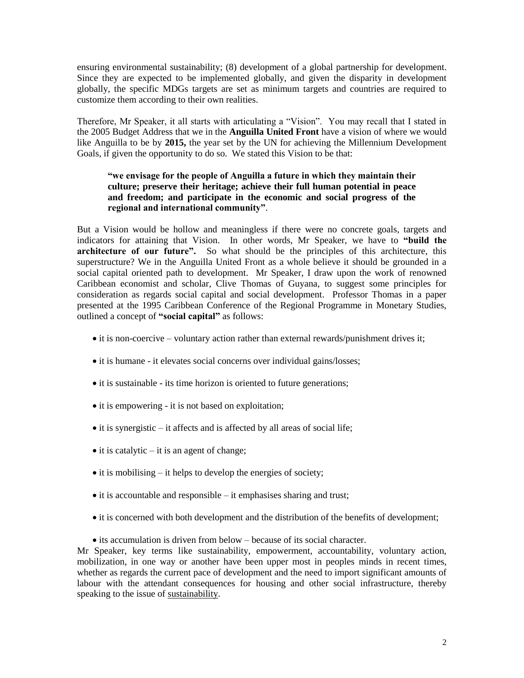ensuring environmental sustainability; (8) development of a global partnership for development. Since they are expected to be implemented globally, and given the disparity in development globally, the specific MDGs targets are set as minimum targets and countries are required to customize them according to their own realities.

Therefore, Mr Speaker, it all starts with articulating a "Vision". You may recall that I stated in the 2005 Budget Address that we in the **Anguilla United Front** have a vision of where we would like Anguilla to be by **2015,** the year set by the UN for achieving the Millennium Development Goals, if given the opportunity to do so. We stated this Vision to be that:

## **"we envisage for the people of Anguilla a future in which they maintain their culture; preserve their heritage; achieve their full human potential in peace and freedom; and participate in the economic and social progress of the regional and international community"**.

But a Vision would be hollow and meaningless if there were no concrete goals, targets and indicators for attaining that Vision. In other words, Mr Speaker, we have to **"build the architecture of our future".** So what should be the principles of this architecture, this superstructure? We in the Anguilla United Front as a whole believe it should be grounded in a social capital oriented path to development. Mr Speaker, I draw upon the work of renowned Caribbean economist and scholar, Clive Thomas of Guyana, to suggest some principles for consideration as regards social capital and social development. Professor Thomas in a paper presented at the 1995 Caribbean Conference of the Regional Programme in Monetary Studies, outlined a concept of **"social capital"** as follows:

- it is non-coercive voluntary action rather than external rewards/punishment drives it;
- it is humane it elevates social concerns over individual gains/losses;
- it is sustainable its time horizon is oriented to future generations;
- it is empowering it is not based on exploitation;
- $\bullet$  it is synergistic it affects and is affected by all areas of social life;
- $\bullet$  it is catalytic it is an agent of change;
- $\bullet$  it is mobilising it helps to develop the energies of society;
- $\bullet$  it is accountable and responsible it emphasises sharing and trust;
- it is concerned with both development and the distribution of the benefits of development;
- its accumulation is driven from below because of its social character.

Mr Speaker, key terms like sustainability, empowerment, accountability, voluntary action, mobilization, in one way or another have been upper most in peoples minds in recent times, whether as regards the current pace of development and the need to import significant amounts of labour with the attendant consequences for housing and other social infrastructure, thereby speaking to the issue of sustainability.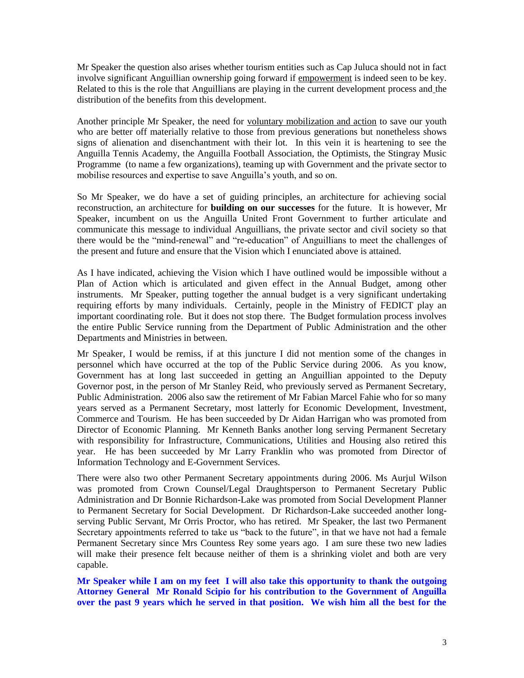Mr Speaker the question also arises whether tourism entities such as Cap Juluca should not in fact involve significant Anguillian ownership going forward if empowerment is indeed seen to be key. Related to this is the role that Anguillians are playing in the current development process and the distribution of the benefits from this development.

Another principle Mr Speaker, the need for voluntary mobilization and action to save our youth who are better off materially relative to those from previous generations but nonetheless shows signs of alienation and disenchantment with their lot. In this vein it is heartening to see the Anguilla Tennis Academy, the Anguilla Football Association, the Optimists, the Stingray Music Programme (to name a few organizations), teaming up with Government and the private sector to mobilise resources and expertise to save Anguilla's youth, and so on.

So Mr Speaker, we do have a set of guiding principles, an architecture for achieving social reconstruction, an architecture for **building on our successes** for the future. It is however, Mr Speaker, incumbent on us the Anguilla United Front Government to further articulate and communicate this message to individual Anguillians, the private sector and civil society so that there would be the "mind-renewal" and "re-education" of Anguillians to meet the challenges of the present and future and ensure that the Vision which I enunciated above is attained.

As I have indicated, achieving the Vision which I have outlined would be impossible without a Plan of Action which is articulated and given effect in the Annual Budget, among other instruments. Mr Speaker, putting together the annual budget is a very significant undertaking requiring efforts by many individuals. Certainly, people in the Ministry of FEDICT play an important coordinating role. But it does not stop there. The Budget formulation process involves the entire Public Service running from the Department of Public Administration and the other Departments and Ministries in between.

Mr Speaker, I would be remiss, if at this juncture I did not mention some of the changes in personnel which have occurred at the top of the Public Service during 2006. As you know, Government has at long last succeeded in getting an Anguillian appointed to the Deputy Governor post, in the person of Mr Stanley Reid, who previously served as Permanent Secretary, Public Administration. 2006 also saw the retirement of Mr Fabian Marcel Fahie who for so many years served as a Permanent Secretary, most latterly for Economic Development, Investment, Commerce and Tourism. He has been succeeded by Dr Aidan Harrigan who was promoted from Director of Economic Planning. Mr Kenneth Banks another long serving Permanent Secretary with responsibility for Infrastructure, Communications, Utilities and Housing also retired this year. He has been succeeded by Mr Larry Franklin who was promoted from Director of Information Technology and E-Government Services.

There were also two other Permanent Secretary appointments during 2006. Ms Aurjul Wilson was promoted from Crown Counsel/Legal Draughtsperson to Permanent Secretary Public Administration and Dr Bonnie Richardson-Lake was promoted from Social Development Planner to Permanent Secretary for Social Development. Dr Richardson-Lake succeeded another longserving Public Servant, Mr Orris Proctor, who has retired. Mr Speaker, the last two Permanent Secretary appointments referred to take us "back to the future", in that we have not had a female Permanent Secretary since Mrs Countess Rey some years ago. I am sure these two new ladies will make their presence felt because neither of them is a shrinking violet and both are very capable.

**Mr Speaker while I am on my feet I will also take this opportunity to thank the outgoing Attorney General Mr Ronald Scipio for his contribution to the Government of Anguilla over the past 9 years which he served in that position. We wish him all the best for the**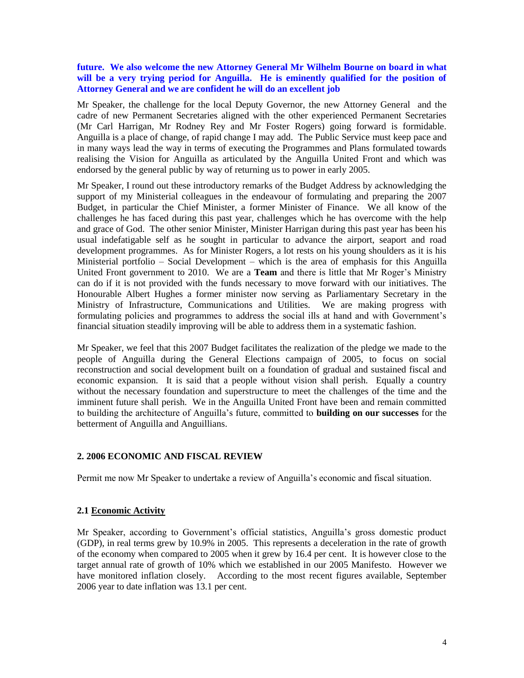#### **future. We also welcome the new Attorney General Mr Wilhelm Bourne on board in what**  will be a very trying period for Anguilla. He is eminently qualified for the position of **Attorney General and we are confident he will do an excellent job**

Mr Speaker, the challenge for the local Deputy Governor, the new Attorney General and the cadre of new Permanent Secretaries aligned with the other experienced Permanent Secretaries (Mr Carl Harrigan, Mr Rodney Rey and Mr Foster Rogers) going forward is formidable. Anguilla is a place of change, of rapid change I may add. The Public Service must keep pace and in many ways lead the way in terms of executing the Programmes and Plans formulated towards realising the Vision for Anguilla as articulated by the Anguilla United Front and which was endorsed by the general public by way of returning us to power in early 2005.

Mr Speaker, I round out these introductory remarks of the Budget Address by acknowledging the support of my Ministerial colleagues in the endeavour of formulating and preparing the 2007 Budget, in particular the Chief Minister, a former Minister of Finance. We all know of the challenges he has faced during this past year, challenges which he has overcome with the help and grace of God. The other senior Minister, Minister Harrigan during this past year has been his usual indefatigable self as he sought in particular to advance the airport, seaport and road development programmes. As for Minister Rogers, a lot rests on his young shoulders as it is his Ministerial portfolio – Social Development – which is the area of emphasis for this Anguilla United Front government to 2010. We are a **Team** and there is little that Mr Roger's Ministry can do if it is not provided with the funds necessary to move forward with our initiatives. The Honourable Albert Hughes a former minister now serving as Parliamentary Secretary in the Ministry of Infrastructure, Communications and Utilities. We are making progress with formulating policies and programmes to address the social ills at hand and with Government's financial situation steadily improving will be able to address them in a systematic fashion.

Mr Speaker, we feel that this 2007 Budget facilitates the realization of the pledge we made to the people of Anguilla during the General Elections campaign of 2005, to focus on social reconstruction and social development built on a foundation of gradual and sustained fiscal and economic expansion. It is said that a people without vision shall perish. Equally a country without the necessary foundation and superstructure to meet the challenges of the time and the imminent future shall perish. We in the Anguilla United Front have been and remain committed to building the architecture of Anguilla's future, committed to **building on our successes** for the betterment of Anguilla and Anguillians.

#### **2. 2006 ECONOMIC AND FISCAL REVIEW**

Permit me now Mr Speaker to undertake a review of Anguilla's economic and fiscal situation.

#### **2.1 Economic Activity**

Mr Speaker, according to Government's official statistics, Anguilla's gross domestic product (GDP), in real terms grew by 10.9% in 2005. This represents a deceleration in the rate of growth of the economy when compared to 2005 when it grew by 16.4 per cent. It is however close to the target annual rate of growth of 10% which we established in our 2005 Manifesto. However we have monitored inflation closely. According to the most recent figures available, September 2006 year to date inflation was 13.1 per cent.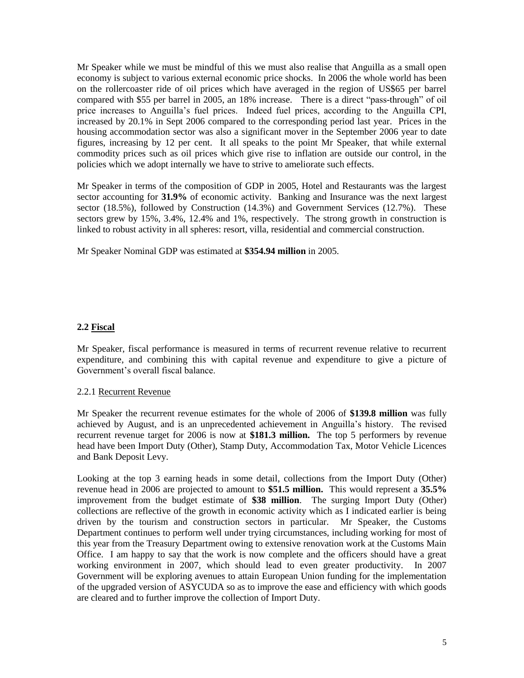Mr Speaker while we must be mindful of this we must also realise that Anguilla as a small open economy is subject to various external economic price shocks. In 2006 the whole world has been on the rollercoaster ride of oil prices which have averaged in the region of US\$65 per barrel compared with \$55 per barrel in 2005, an 18% increase. There is a direct "pass-through" of oil price increases to Anguilla's fuel prices. Indeed fuel prices, according to the Anguilla CPI, increased by 20.1% in Sept 2006 compared to the corresponding period last year. Prices in the housing accommodation sector was also a significant mover in the September 2006 year to date figures, increasing by 12 per cent. It all speaks to the point Mr Speaker, that while external commodity prices such as oil prices which give rise to inflation are outside our control, in the policies which we adopt internally we have to strive to ameliorate such effects.

Mr Speaker in terms of the composition of GDP in 2005, Hotel and Restaurants was the largest sector accounting for **31.9%** of economic activity. Banking and Insurance was the next largest sector (18.5%), followed by Construction (14.3%) and Government Services (12.7%). These sectors grew by 15%, 3.4%, 12.4% and 1%, respectively. The strong growth in construction is linked to robust activity in all spheres: resort, villa, residential and commercial construction.

Mr Speaker Nominal GDP was estimated at **\$354.94 million** in 2005.

## **2.2 Fiscal**

Mr Speaker, fiscal performance is measured in terms of recurrent revenue relative to recurrent expenditure, and combining this with capital revenue and expenditure to give a picture of Government's overall fiscal balance.

#### 2.2.1 Recurrent Revenue

Mr Speaker the recurrent revenue estimates for the whole of 2006 of **\$139.8 million** was fully achieved by August, and is an unprecedented achievement in Anguilla's history. The revised recurrent revenue target for 2006 is now at **\$181.3 million.** The top 5 performers by revenue head have been Import Duty (Other), Stamp Duty, Accommodation Tax, Motor Vehicle Licences and Bank Deposit Levy.

Looking at the top 3 earning heads in some detail, collections from the Import Duty (Other) revenue head in 2006 are projected to amount to **\$51.5 million.** This would represent a **35.5%**  improvement from the budget estimate of **\$38 million**. The surging Import Duty (Other) collections are reflective of the growth in economic activity which as I indicated earlier is being driven by the tourism and construction sectors in particular. Mr Speaker, the Customs Department continues to perform well under trying circumstances, including working for most of this year from the Treasury Department owing to extensive renovation work at the Customs Main Office. I am happy to say that the work is now complete and the officers should have a great working environment in 2007, which should lead to even greater productivity. In 2007 Government will be exploring avenues to attain European Union funding for the implementation of the upgraded version of ASYCUDA so as to improve the ease and efficiency with which goods are cleared and to further improve the collection of Import Duty.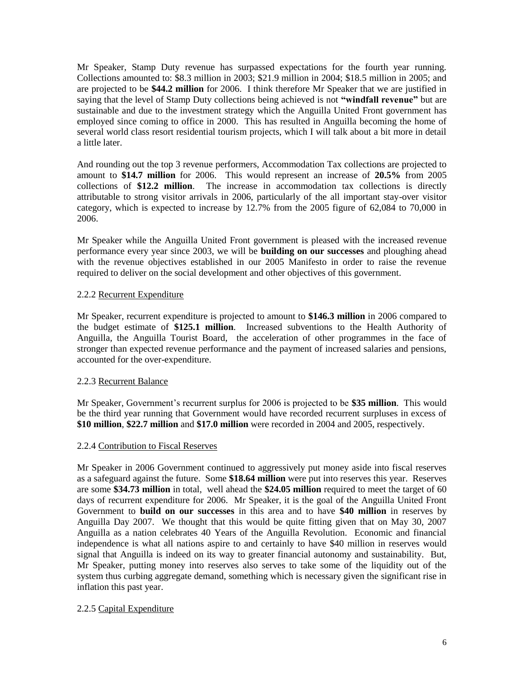Mr Speaker, Stamp Duty revenue has surpassed expectations for the fourth year running. Collections amounted to: \$8.3 million in 2003; \$21.9 million in 2004; \$18.5 million in 2005; and are projected to be **\$44.2 million** for 2006. I think therefore Mr Speaker that we are justified in saying that the level of Stamp Duty collections being achieved is not **"windfall revenue"** but are sustainable and due to the investment strategy which the Anguilla United Front government has employed since coming to office in 2000. This has resulted in Anguilla becoming the home of several world class resort residential tourism projects, which I will talk about a bit more in detail a little later.

And rounding out the top 3 revenue performers, Accommodation Tax collections are projected to amount to **\$14.7 million** for 2006. This would represent an increase of **20.5%** from 2005 collections of **\$12.2 million**. The increase in accommodation tax collections is directly attributable to strong visitor arrivals in 2006, particularly of the all important stay-over visitor category, which is expected to increase by 12.7% from the 2005 figure of 62,084 to 70,000 in 2006.

Mr Speaker while the Anguilla United Front government is pleased with the increased revenue performance every year since 2003, we will be **building on our successes** and ploughing ahead with the revenue objectives established in our 2005 Manifesto in order to raise the revenue required to deliver on the social development and other objectives of this government.

## 2.2.2 Recurrent Expenditure

Mr Speaker, recurrent expenditure is projected to amount to **\$146.3 million** in 2006 compared to the budget estimate of **\$125.1 million**. Increased subventions to the Health Authority of Anguilla, the Anguilla Tourist Board, the acceleration of other programmes in the face of stronger than expected revenue performance and the payment of increased salaries and pensions, accounted for the over-expenditure.

## 2.2.3 Recurrent Balance

Mr Speaker, Government's recurrent surplus for 2006 is projected to be **\$35 million**. This would be the third year running that Government would have recorded recurrent surpluses in excess of **\$10 million**, **\$22.7 million** and **\$17.0 million** were recorded in 2004 and 2005, respectively.

#### 2.2.4 Contribution to Fiscal Reserves

Mr Speaker in 2006 Government continued to aggressively put money aside into fiscal reserves as a safeguard against the future. Some **\$18.64 million** were put into reserves this year. Reserves are some **\$34.73 million** in total, well ahead the **\$24.05 million** required to meet the target of 60 days of recurrent expenditure for 2006. Mr Speaker, it is the goal of the Anguilla United Front Government to **build on our successes** in this area and to have **\$40 million** in reserves by Anguilla Day 2007. We thought that this would be quite fitting given that on May 30, 2007 Anguilla as a nation celebrates 40 Years of the Anguilla Revolution. Economic and financial independence is what all nations aspire to and certainly to have \$40 million in reserves would signal that Anguilla is indeed on its way to greater financial autonomy and sustainability. But, Mr Speaker, putting money into reserves also serves to take some of the liquidity out of the system thus curbing aggregate demand, something which is necessary given the significant rise in inflation this past year.

## 2.2.5 Capital Expenditure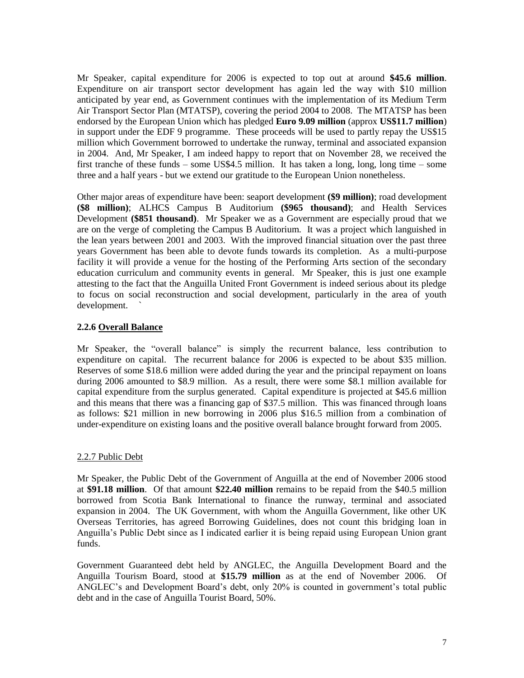Mr Speaker, capital expenditure for 2006 is expected to top out at around **\$45.6 million**. Expenditure on air transport sector development has again led the way with \$10 million anticipated by year end, as Government continues with the implementation of its Medium Term Air Transport Sector Plan (MTATSP), covering the period 2004 to 2008. The MTATSP has been endorsed by the European Union which has pledged **Euro 9.09 million** (approx **US\$11.7 million**) in support under the EDF 9 programme. These proceeds will be used to partly repay the US\$15 million which Government borrowed to undertake the runway, terminal and associated expansion in 2004. And, Mr Speaker, I am indeed happy to report that on November 28, we received the first tranche of these funds – some US\$4.5 million. It has taken a long, long, long time – some three and a half years - but we extend our gratitude to the European Union nonetheless.

Other major areas of expenditure have been: seaport development **(\$9 million)**; road development **(\$8 million)**; ALHCS Campus B Auditorium **(\$965 thousand)**; and Health Services Development **(\$851 thousand)**. Mr Speaker we as a Government are especially proud that we are on the verge of completing the Campus B Auditorium. It was a project which languished in the lean years between 2001 and 2003. With the improved financial situation over the past three years Government has been able to devote funds towards its completion. As a multi-purpose facility it will provide a venue for the hosting of the Performing Arts section of the secondary education curriculum and community events in general. Mr Speaker, this is just one example attesting to the fact that the Anguilla United Front Government is indeed serious about its pledge to focus on social reconstruction and social development, particularly in the area of youth development.

## **2.2.6 Overall Balance**

Mr Speaker, the "overall balance" is simply the recurrent balance, less contribution to expenditure on capital. The recurrent balance for 2006 is expected to be about \$35 million. Reserves of some \$18.6 million were added during the year and the principal repayment on loans during 2006 amounted to \$8.9 million. As a result, there were some \$8.1 million available for capital expenditure from the surplus generated. Capital expenditure is projected at \$45.6 million and this means that there was a financing gap of \$37.5 million. This was financed through loans as follows: \$21 million in new borrowing in 2006 plus \$16.5 million from a combination of under-expenditure on existing loans and the positive overall balance brought forward from 2005.

#### 2.2.7 Public Debt

Mr Speaker, the Public Debt of the Government of Anguilla at the end of November 2006 stood at **\$91.18 million**. Of that amount **\$22.40 million** remains to be repaid from the \$40.5 million borrowed from Scotia Bank International to finance the runway, terminal and associated expansion in 2004. The UK Government, with whom the Anguilla Government, like other UK Overseas Territories, has agreed Borrowing Guidelines, does not count this bridging loan in Anguilla's Public Debt since as I indicated earlier it is being repaid using European Union grant funds.

Government Guaranteed debt held by ANGLEC, the Anguilla Development Board and the Anguilla Tourism Board, stood at **\$15.79 million** as at the end of November 2006. Of ANGLEC's and Development Board's debt, only 20% is counted in government's total public debt and in the case of Anguilla Tourist Board, 50%.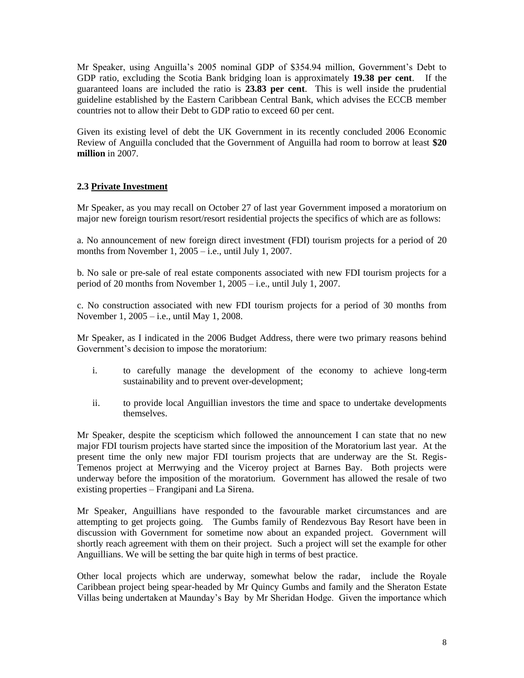Mr Speaker, using Anguilla's 2005 nominal GDP of \$354.94 million, Government's Debt to GDP ratio, excluding the Scotia Bank bridging loan is approximately **19.38 per cent**. If the guaranteed loans are included the ratio is **23.83 per cent**. This is well inside the prudential guideline established by the Eastern Caribbean Central Bank, which advises the ECCB member countries not to allow their Debt to GDP ratio to exceed 60 per cent.

Given its existing level of debt the UK Government in its recently concluded 2006 Economic Review of Anguilla concluded that the Government of Anguilla had room to borrow at least **\$20 million** in 2007.

## **2.3 Private Investment**

Mr Speaker, as you may recall on October 27 of last year Government imposed a moratorium on major new foreign tourism resort/resort residential projects the specifics of which are as follows:

a. No announcement of new foreign direct investment (FDI) tourism projects for a period of 20 months from November 1, 2005 – i.e., until July 1, 2007.

b. No sale or pre-sale of real estate components associated with new FDI tourism projects for a period of 20 months from November 1, 2005 – i.e., until July 1, 2007.

c. No construction associated with new FDI tourism projects for a period of 30 months from November 1, 2005 – i.e., until May 1, 2008.

Mr Speaker, as I indicated in the 2006 Budget Address, there were two primary reasons behind Government's decision to impose the moratorium:

- i. to carefully manage the development of the economy to achieve long-term sustainability and to prevent over-development;
- ii. to provide local Anguillian investors the time and space to undertake developments themselves.

Mr Speaker, despite the scepticism which followed the announcement I can state that no new major FDI tourism projects have started since the imposition of the Moratorium last year. At the present time the only new major FDI tourism projects that are underway are the St. Regis-Temenos project at Merrwying and the Viceroy project at Barnes Bay. Both projects were underway before the imposition of the moratorium. Government has allowed the resale of two existing properties – Frangipani and La Sirena.

Mr Speaker, Anguillians have responded to the favourable market circumstances and are attempting to get projects going. The Gumbs family of Rendezvous Bay Resort have been in discussion with Government for sometime now about an expanded project. Government will shortly reach agreement with them on their project. Such a project will set the example for other Anguillians. We will be setting the bar quite high in terms of best practice.

Other local projects which are underway, somewhat below the radar, include the Royale Caribbean project being spear-headed by Mr Quincy Gumbs and family and the Sheraton Estate Villas being undertaken at Maunday's Bay by Mr Sheridan Hodge. Given the importance which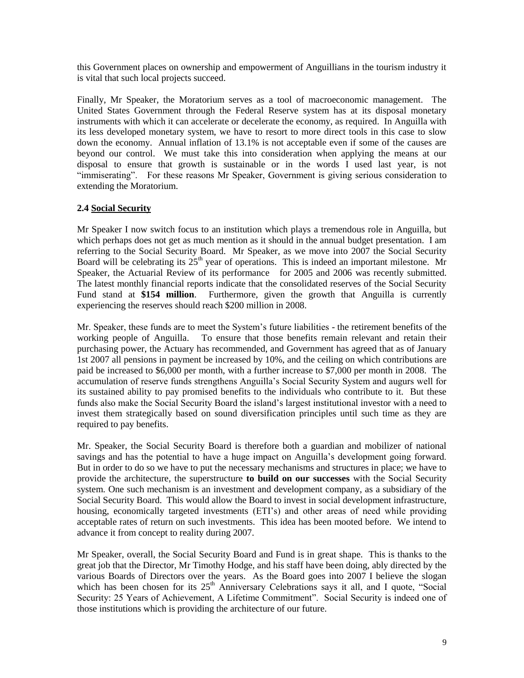this Government places on ownership and empowerment of Anguillians in the tourism industry it is vital that such local projects succeed.

Finally, Mr Speaker, the Moratorium serves as a tool of macroeconomic management. The United States Government through the Federal Reserve system has at its disposal monetary instruments with which it can accelerate or decelerate the economy, as required. In Anguilla with its less developed monetary system, we have to resort to more direct tools in this case to slow down the economy. Annual inflation of 13.1% is not acceptable even if some of the causes are beyond our control. We must take this into consideration when applying the means at our disposal to ensure that growth is sustainable or in the words I used last year, is not "immiserating". For these reasons Mr Speaker, Government is giving serious consideration to extending the Moratorium.

## **2.4 Social Security**

Mr Speaker I now switch focus to an institution which plays a tremendous role in Anguilla, but which perhaps does not get as much mention as it should in the annual budget presentation. I am referring to the Social Security Board. Mr Speaker, as we move into 2007 the Social Security Board will be celebrating its  $25<sup>th</sup>$  year of operations. This is indeed an important milestone. Mr Speaker, the Actuarial Review of its performance for 2005 and 2006 was recently submitted. The latest monthly financial reports indicate that the consolidated reserves of the Social Security Fund stand at **\$154 million**. Furthermore, given the growth that Anguilla is currently experiencing the reserves should reach \$200 million in 2008.

Mr. Speaker, these funds are to meet the System's future liabilities - the retirement benefits of the working people of Anguilla. To ensure that those benefits remain relevant and retain their purchasing power, the Actuary has recommended, and Government has agreed that as of January 1st 2007 all pensions in payment be increased by 10%, and the ceiling on which contributions are paid be increased to \$6,000 per month, with a further increase to \$7,000 per month in 2008. The accumulation of reserve funds strengthens Anguilla's Social Security System and augurs well for its sustained ability to pay promised benefits to the individuals who contribute to it. But these funds also make the Social Security Board the island's largest institutional investor with a need to invest them strategically based on sound diversification principles until such time as they are required to pay benefits.

Mr. Speaker, the Social Security Board is therefore both a guardian and mobilizer of national savings and has the potential to have a huge impact on Anguilla's development going forward. But in order to do so we have to put the necessary mechanisms and structures in place; we have to provide the architecture, the superstructure **to build on our successes** with the Social Security system. One such mechanism is an investment and development company, as a subsidiary of the Social Security Board. This would allow the Board to invest in social development infrastructure, housing, economically targeted investments (ETI's) and other areas of need while providing acceptable rates of return on such investments. This idea has been mooted before. We intend to advance it from concept to reality during 2007.

Mr Speaker, overall, the Social Security Board and Fund is in great shape. This is thanks to the great job that the Director, Mr Timothy Hodge, and his staff have been doing, ably directed by the various Boards of Directors over the years. As the Board goes into 2007 I believe the slogan which has been chosen for its  $25<sup>th</sup>$  Anniversary Celebrations says it all, and I quote, "Social Security: 25 Years of Achievement, A Lifetime Commitment". Social Security is indeed one of those institutions which is providing the architecture of our future.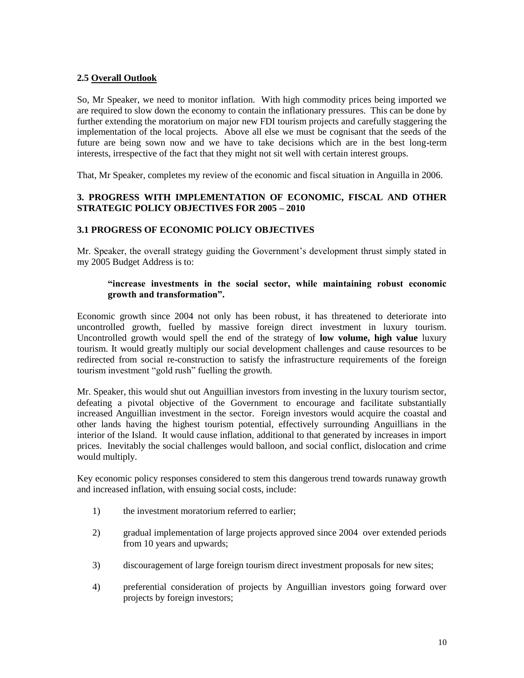## **2.5 Overall Outlook**

So, Mr Speaker, we need to monitor inflation. With high commodity prices being imported we are required to slow down the economy to contain the inflationary pressures. This can be done by further extending the moratorium on major new FDI tourism projects and carefully staggering the implementation of the local projects. Above all else we must be cognisant that the seeds of the future are being sown now and we have to take decisions which are in the best long-term interests, irrespective of the fact that they might not sit well with certain interest groups.

That, Mr Speaker, completes my review of the economic and fiscal situation in Anguilla in 2006.

## **3. PROGRESS WITH IMPLEMENTATION OF ECONOMIC, FISCAL AND OTHER STRATEGIC POLICY OBJECTIVES FOR 2005 – 2010**

#### **3.1 PROGRESS OF ECONOMIC POLICY OBJECTIVES**

Mr. Speaker, the overall strategy guiding the Government's development thrust simply stated in my 2005 Budget Address is to:

## **"increase investments in the social sector, while maintaining robust economic growth and transformation".**

Economic growth since 2004 not only has been robust, it has threatened to deteriorate into uncontrolled growth, fuelled by massive foreign direct investment in luxury tourism. Uncontrolled growth would spell the end of the strategy of **low volume, high value** luxury tourism. It would greatly multiply our social development challenges and cause resources to be redirected from social re-construction to satisfy the infrastructure requirements of the foreign tourism investment "gold rush" fuelling the growth.

Mr. Speaker, this would shut out Anguillian investors from investing in the luxury tourism sector, defeating a pivotal objective of the Government to encourage and facilitate substantially increased Anguillian investment in the sector. Foreign investors would acquire the coastal and other lands having the highest tourism potential, effectively surrounding Anguillians in the interior of the Island. It would cause inflation, additional to that generated by increases in import prices. Inevitably the social challenges would balloon, and social conflict, dislocation and crime would multiply.

Key economic policy responses considered to stem this dangerous trend towards runaway growth and increased inflation, with ensuing social costs, include:

- 1) the investment moratorium referred to earlier;
- 2) gradual implementation of large projects approved since 2004 over extended periods from 10 years and upwards;
- 3) discouragement of large foreign tourism direct investment proposals for new sites;
- 4) preferential consideration of projects by Anguillian investors going forward over projects by foreign investors;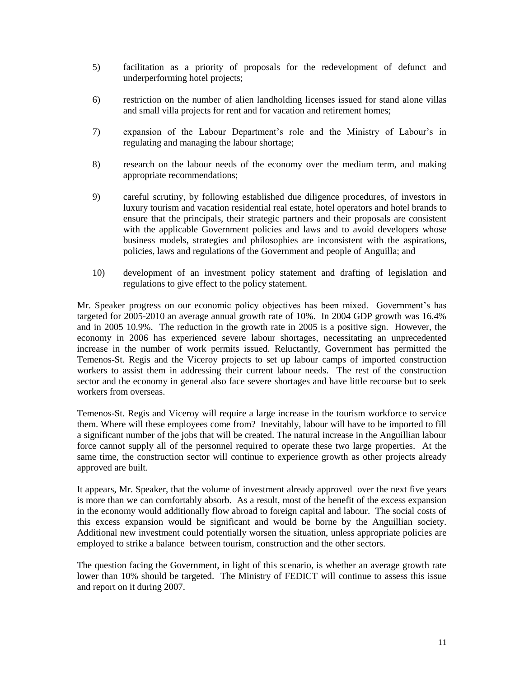- 5) facilitation as a priority of proposals for the redevelopment of defunct and underperforming hotel projects;
- 6) restriction on the number of alien landholding licenses issued for stand alone villas and small villa projects for rent and for vacation and retirement homes;
- 7) expansion of the Labour Department's role and the Ministry of Labour's in regulating and managing the labour shortage;
- 8) research on the labour needs of the economy over the medium term, and making appropriate recommendations;
- 9) careful scrutiny, by following established due diligence procedures, of investors in luxury tourism and vacation residential real estate, hotel operators and hotel brands to ensure that the principals, their strategic partners and their proposals are consistent with the applicable Government policies and laws and to avoid developers whose business models, strategies and philosophies are inconsistent with the aspirations, policies, laws and regulations of the Government and people of Anguilla; and
- 10) development of an investment policy statement and drafting of legislation and regulations to give effect to the policy statement.

Mr. Speaker progress on our economic policy objectives has been mixed. Government's has targeted for 2005-2010 an average annual growth rate of 10%. In 2004 GDP growth was 16.4% and in 2005 10.9%. The reduction in the growth rate in 2005 is a positive sign. However, the economy in 2006 has experienced severe labour shortages, necessitating an unprecedented increase in the number of work permits issued. Reluctantly, Government has permitted the Temenos-St. Regis and the Viceroy projects to set up labour camps of imported construction workers to assist them in addressing their current labour needs. The rest of the construction sector and the economy in general also face severe shortages and have little recourse but to seek workers from overseas.

Temenos-St. Regis and Viceroy will require a large increase in the tourism workforce to service them. Where will these employees come from? Inevitably, labour will have to be imported to fill a significant number of the jobs that will be created. The natural increase in the Anguillian labour force cannot supply all of the personnel required to operate these two large properties. At the same time, the construction sector will continue to experience growth as other projects already approved are built.

It appears, Mr. Speaker, that the volume of investment already approved over the next five years is more than we can comfortably absorb. As a result, most of the benefit of the excess expansion in the economy would additionally flow abroad to foreign capital and labour. The social costs of this excess expansion would be significant and would be borne by the Anguillian society. Additional new investment could potentially worsen the situation, unless appropriate policies are employed to strike a balance between tourism, construction and the other sectors.

The question facing the Government, in light of this scenario, is whether an average growth rate lower than 10% should be targeted. The Ministry of FEDICT will continue to assess this issue and report on it during 2007.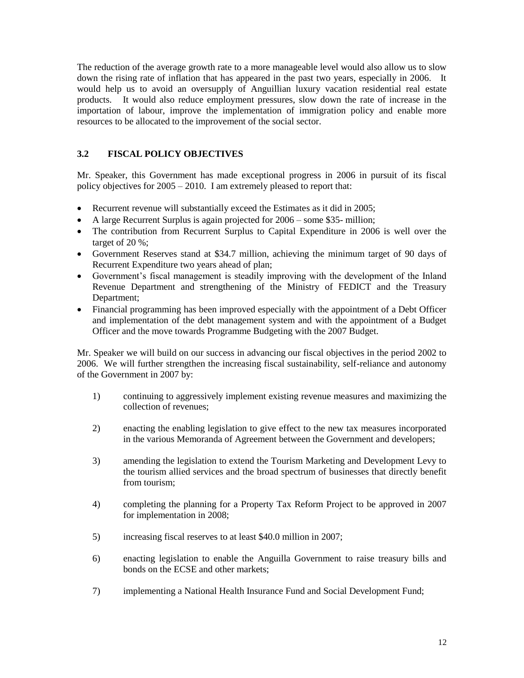The reduction of the average growth rate to a more manageable level would also allow us to slow down the rising rate of inflation that has appeared in the past two years, especially in 2006. It would help us to avoid an oversupply of Anguillian luxury vacation residential real estate products. It would also reduce employment pressures, slow down the rate of increase in the importation of labour, improve the implementation of immigration policy and enable more resources to be allocated to the improvement of the social sector.

## **3.2 FISCAL POLICY OBJECTIVES**

Mr. Speaker, this Government has made exceptional progress in 2006 in pursuit of its fiscal policy objectives for 2005 – 2010. I am extremely pleased to report that:

- Recurrent revenue will substantially exceed the Estimates as it did in 2005;
- A large Recurrent Surplus is again projected for 2006 some \$35- million;
- The contribution from Recurrent Surplus to Capital Expenditure in 2006 is well over the target of 20 %;
- Government Reserves stand at \$34.7 million, achieving the minimum target of 90 days of Recurrent Expenditure two years ahead of plan;
- Government's fiscal management is steadily improving with the development of the Inland Revenue Department and strengthening of the Ministry of FEDICT and the Treasury Department;
- Financial programming has been improved especially with the appointment of a Debt Officer and implementation of the debt management system and with the appointment of a Budget Officer and the move towards Programme Budgeting with the 2007 Budget.

Mr. Speaker we will build on our success in advancing our fiscal objectives in the period 2002 to 2006. We will further strengthen the increasing fiscal sustainability, self-reliance and autonomy of the Government in 2007 by:

- 1) continuing to aggressively implement existing revenue measures and maximizing the collection of revenues;
- 2) enacting the enabling legislation to give effect to the new tax measures incorporated in the various Memoranda of Agreement between the Government and developers;
- 3) amending the legislation to extend the Tourism Marketing and Development Levy to the tourism allied services and the broad spectrum of businesses that directly benefit from tourism;
- 4) completing the planning for a Property Tax Reform Project to be approved in 2007 for implementation in 2008;
- 5) increasing fiscal reserves to at least \$40.0 million in 2007;
- 6) enacting legislation to enable the Anguilla Government to raise treasury bills and bonds on the ECSE and other markets;
- 7) implementing a National Health Insurance Fund and Social Development Fund;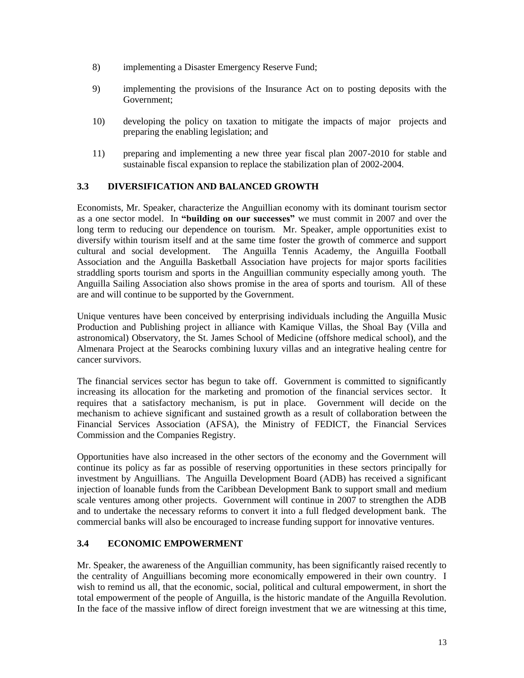- 8) implementing a Disaster Emergency Reserve Fund;
- 9) implementing the provisions of the Insurance Act on to posting deposits with the Government;
- 10) developing the policy on taxation to mitigate the impacts of major projects and preparing the enabling legislation; and
- 11) preparing and implementing a new three year fiscal plan 2007-2010 for stable and sustainable fiscal expansion to replace the stabilization plan of 2002-2004.

## **3.3 DIVERSIFICATION AND BALANCED GROWTH**

Economists, Mr. Speaker, characterize the Anguillian economy with its dominant tourism sector as a one sector model. In **"building on our successes"** we must commit in 2007 and over the long term to reducing our dependence on tourism. Mr. Speaker, ample opportunities exist to diversify within tourism itself and at the same time foster the growth of commerce and support cultural and social development. The Anguilla Tennis Academy, the Anguilla Football Association and the Anguilla Basketball Association have projects for major sports facilities straddling sports tourism and sports in the Anguillian community especially among youth. The Anguilla Sailing Association also shows promise in the area of sports and tourism. All of these are and will continue to be supported by the Government.

Unique ventures have been conceived by enterprising individuals including the Anguilla Music Production and Publishing project in alliance with Kamique Villas, the Shoal Bay (Villa and astronomical) Observatory, the St. James School of Medicine (offshore medical school), and the Almenara Project at the Searocks combining luxury villas and an integrative healing centre for cancer survivors.

The financial services sector has begun to take off. Government is committed to significantly increasing its allocation for the marketing and promotion of the financial services sector. It requires that a satisfactory mechanism, is put in place. Government will decide on the mechanism to achieve significant and sustained growth as a result of collaboration between the Financial Services Association (AFSA), the Ministry of FEDICT, the Financial Services Commission and the Companies Registry.

Opportunities have also increased in the other sectors of the economy and the Government will continue its policy as far as possible of reserving opportunities in these sectors principally for investment by Anguillians. The Anguilla Development Board (ADB) has received a significant injection of loanable funds from the Caribbean Development Bank to support small and medium scale ventures among other projects. Government will continue in 2007 to strengthen the ADB and to undertake the necessary reforms to convert it into a full fledged development bank. The commercial banks will also be encouraged to increase funding support for innovative ventures.

## **3.4 ECONOMIC EMPOWERMENT**

Mr. Speaker, the awareness of the Anguillian community, has been significantly raised recently to the centrality of Anguillians becoming more economically empowered in their own country. I wish to remind us all, that the economic, social, political and cultural empowerment, in short the total empowerment of the people of Anguilla, is the historic mandate of the Anguilla Revolution. In the face of the massive inflow of direct foreign investment that we are witnessing at this time,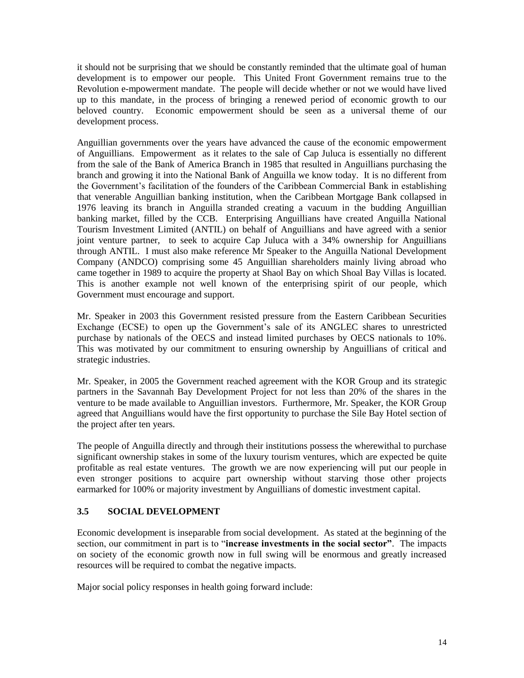it should not be surprising that we should be constantly reminded that the ultimate goal of human development is to empower our people. This United Front Government remains true to the Revolution e-mpowerment mandate. The people will decide whether or not we would have lived up to this mandate, in the process of bringing a renewed period of economic growth to our beloved country. Economic empowerment should be seen as a universal theme of our development process.

Anguillian governments over the years have advanced the cause of the economic empowerment of Anguillians. Empowerment as it relates to the sale of Cap Juluca is essentially no different from the sale of the Bank of America Branch in 1985 that resulted in Anguillians purchasing the branch and growing it into the National Bank of Anguilla we know today. It is no different from the Government's facilitation of the founders of the Caribbean Commercial Bank in establishing that venerable Anguillian banking institution, when the Caribbean Mortgage Bank collapsed in 1976 leaving its branch in Anguilla stranded creating a vacuum in the budding Anguillian banking market, filled by the CCB. Enterprising Anguillians have created Anguilla National Tourism Investment Limited (ANTIL) on behalf of Anguillians and have agreed with a senior joint venture partner, to seek to acquire Cap Juluca with a 34% ownership for Anguillians through ANTIL. I must also make reference Mr Speaker to the Anguilla National Development Company (ANDCO) comprising some 45 Anguillian shareholders mainly living abroad who came together in 1989 to acquire the property at Shaol Bay on which Shoal Bay Villas is located. This is another example not well known of the enterprising spirit of our people, which Government must encourage and support.

Mr. Speaker in 2003 this Government resisted pressure from the Eastern Caribbean Securities Exchange (ECSE) to open up the Government's sale of its ANGLEC shares to unrestricted purchase by nationals of the OECS and instead limited purchases by OECS nationals to 10%. This was motivated by our commitment to ensuring ownership by Anguillians of critical and strategic industries.

Mr. Speaker, in 2005 the Government reached agreement with the KOR Group and its strategic partners in the Savannah Bay Development Project for not less than 20% of the shares in the venture to be made available to Anguillian investors. Furthermore, Mr. Speaker, the KOR Group agreed that Anguillians would have the first opportunity to purchase the Sile Bay Hotel section of the project after ten years.

The people of Anguilla directly and through their institutions possess the wherewithal to purchase significant ownership stakes in some of the luxury tourism ventures, which are expected be quite profitable as real estate ventures. The growth we are now experiencing will put our people in even stronger positions to acquire part ownership without starving those other projects earmarked for 100% or majority investment by Anguillians of domestic investment capital.

## **3.5 SOCIAL DEVELOPMENT**

Economic development is inseparable from social development. As stated at the beginning of the section, our commitment in part is to "**increase investments in the social sector"**. The impacts on society of the economic growth now in full swing will be enormous and greatly increased resources will be required to combat the negative impacts.

Major social policy responses in health going forward include: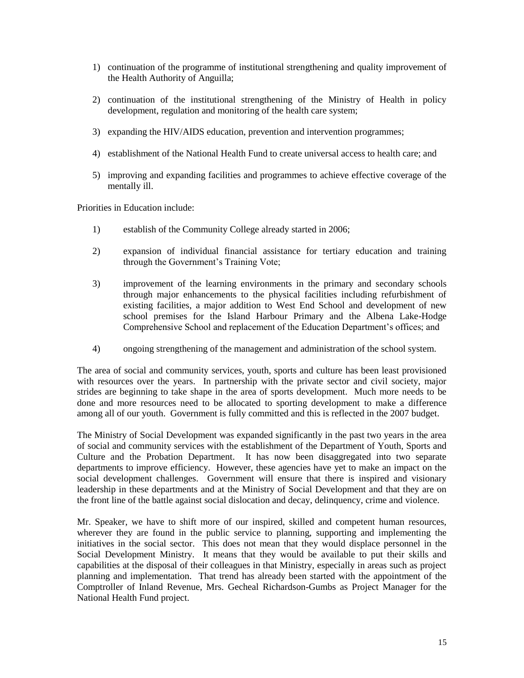- 1) continuation of the programme of institutional strengthening and quality improvement of the Health Authority of Anguilla;
- 2) continuation of the institutional strengthening of the Ministry of Health in policy development, regulation and monitoring of the health care system;
- 3) expanding the HIV/AIDS education, prevention and intervention programmes;
- 4) establishment of the National Health Fund to create universal access to health care; and
- 5) improving and expanding facilities and programmes to achieve effective coverage of the mentally ill.

Priorities in Education include:

- 1) establish of the Community College already started in 2006;
- 2) expansion of individual financial assistance for tertiary education and training through the Government's Training Vote;
- 3) improvement of the learning environments in the primary and secondary schools through major enhancements to the physical facilities including refurbishment of existing facilities, a major addition to West End School and development of new school premises for the Island Harbour Primary and the Albena Lake-Hodge Comprehensive School and replacement of the Education Department's offices; and
- 4) ongoing strengthening of the management and administration of the school system.

The area of social and community services, youth, sports and culture has been least provisioned with resources over the years. In partnership with the private sector and civil society, major strides are beginning to take shape in the area of sports development. Much more needs to be done and more resources need to be allocated to sporting development to make a difference among all of our youth. Government is fully committed and this is reflected in the 2007 budget.

The Ministry of Social Development was expanded significantly in the past two years in the area of social and community services with the establishment of the Department of Youth, Sports and Culture and the Probation Department. It has now been disaggregated into two separate departments to improve efficiency. However, these agencies have yet to make an impact on the social development challenges. Government will ensure that there is inspired and visionary leadership in these departments and at the Ministry of Social Development and that they are on the front line of the battle against social dislocation and decay, delinquency, crime and violence.

Mr. Speaker, we have to shift more of our inspired, skilled and competent human resources, wherever they are found in the public service to planning, supporting and implementing the initiatives in the social sector. This does not mean that they would displace personnel in the Social Development Ministry. It means that they would be available to put their skills and capabilities at the disposal of their colleagues in that Ministry, especially in areas such as project planning and implementation. That trend has already been started with the appointment of the Comptroller of Inland Revenue, Mrs. Gecheal Richardson-Gumbs as Project Manager for the National Health Fund project.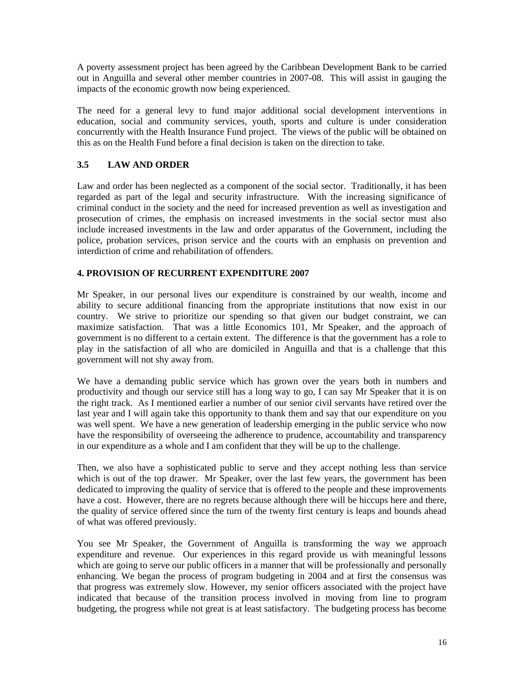A poverty assessment project has been agreed by the Caribbean Development Bank to be carried out in Anguilla and several other member countries in 2007-08. This will assist in gauging the impacts of the economic growth now being experienced.

The need for a general levy to fund major additional social development interventions in education, social and community services, youth, sports and culture is under consideration concurrently with the Health Insurance Fund project. The views of the public will be obtained on this as on the Health Fund before a final decision is taken on the direction to take.

## **3.5 LAW AND ORDER**

Law and order has been neglected as a component of the social sector. Traditionally, it has been regarded as part of the legal and security infrastructure. With the increasing significance of criminal conduct in the society and the need for increased prevention as well as investigation and prosecution of crimes, the emphasis on increased investments in the social sector must also include increased investments in the law and order apparatus of the Government, including the police, probation services, prison service and the courts with an emphasis on prevention and interdiction of crime and rehabilitation of offenders.

## **4. PROVISION OF RECURRENT EXPENDITURE 2007**

Mr Speaker, in our personal lives our expenditure is constrained by our wealth, income and ability to secure additional financing from the appropriate institutions that now exist in our country. We strive to prioritize our spending so that given our budget constraint, we can maximize satisfaction. That was a little Economics 101, Mr Speaker, and the approach of government is no different to a certain extent. The difference is that the government has a role to play in the satisfaction of all who are domiciled in Anguilla and that is a challenge that this government will not shy away from.

We have a demanding public service which has grown over the years both in numbers and productivity and though our service still has a long way to go, I can say Mr Speaker that it is on the right track. As I mentioned earlier a number of our senior civil servants have retired over the last year and I will again take this opportunity to thank them and say that our expenditure on you was well spent. We have a new generation of leadership emerging in the public service who now have the responsibility of overseeing the adherence to prudence, accountability and transparency in our expenditure as a whole and I am confident that they will be up to the challenge.

Then, we also have a sophisticated public to serve and they accept nothing less than service which is out of the top drawer. Mr Speaker, over the last few years, the government has been dedicated to improving the quality of service that is offered to the people and these improvements have a cost. However, there are no regrets because although there will be hiccups here and there, the quality of service offered since the turn of the twenty first century is leaps and bounds ahead of what was offered previously.

You see Mr Speaker, the Government of Anguilla is transforming the way we approach expenditure and revenue. Our experiences in this regard provide us with meaningful lessons which are going to serve our public officers in a manner that will be professionally and personally enhancing. We began the process of program budgeting in 2004 and at first the consensus was that progress was extremely slow. However, my senior officers associated with the project have indicated that because of the transition process involved in moving from line to program budgeting, the progress while not great is at least satisfactory. The budgeting process has become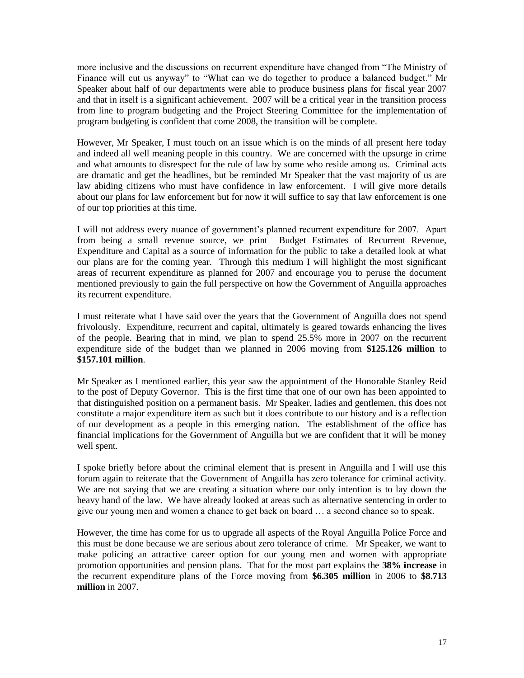more inclusive and the discussions on recurrent expenditure have changed from "The Ministry of Finance will cut us anyway" to "What can we do together to produce a balanced budget." Mr Speaker about half of our departments were able to produce business plans for fiscal year 2007 and that in itself is a significant achievement. 2007 will be a critical year in the transition process from line to program budgeting and the Project Steering Committee for the implementation of program budgeting is confident that come 2008, the transition will be complete.

However, Mr Speaker, I must touch on an issue which is on the minds of all present here today and indeed all well meaning people in this country. We are concerned with the upsurge in crime and what amounts to disrespect for the rule of law by some who reside among us. Criminal acts are dramatic and get the headlines, but be reminded Mr Speaker that the vast majority of us are law abiding citizens who must have confidence in law enforcement. I will give more details about our plans for law enforcement but for now it will suffice to say that law enforcement is one of our top priorities at this time.

I will not address every nuance of government's planned recurrent expenditure for 2007. Apart from being a small revenue source, we print Budget Estimates of Recurrent Revenue, Expenditure and Capital as a source of information for the public to take a detailed look at what our plans are for the coming year. Through this medium I will highlight the most significant areas of recurrent expenditure as planned for 2007 and encourage you to peruse the document mentioned previously to gain the full perspective on how the Government of Anguilla approaches its recurrent expenditure.

I must reiterate what I have said over the years that the Government of Anguilla does not spend frivolously. Expenditure, recurrent and capital, ultimately is geared towards enhancing the lives of the people. Bearing that in mind, we plan to spend 25.5% more in 2007 on the recurrent expenditure side of the budget than we planned in 2006 moving from **\$125.126 million** to **\$157.101 million**.

Mr Speaker as I mentioned earlier, this year saw the appointment of the Honorable Stanley Reid to the post of Deputy Governor. This is the first time that one of our own has been appointed to that distinguished position on a permanent basis. Mr Speaker, ladies and gentlemen, this does not constitute a major expenditure item as such but it does contribute to our history and is a reflection of our development as a people in this emerging nation. The establishment of the office has financial implications for the Government of Anguilla but we are confident that it will be money well spent.

I spoke briefly before about the criminal element that is present in Anguilla and I will use this forum again to reiterate that the Government of Anguilla has zero tolerance for criminal activity. We are not saying that we are creating a situation where our only intention is to lay down the heavy hand of the law. We have already looked at areas such as alternative sentencing in order to give our young men and women a chance to get back on board … a second chance so to speak.

However, the time has come for us to upgrade all aspects of the Royal Anguilla Police Force and this must be done because we are serious about zero tolerance of crime. Mr Speaker, we want to make policing an attractive career option for our young men and women with appropriate promotion opportunities and pension plans. That for the most part explains the **38% increase** in the recurrent expenditure plans of the Force moving from **\$6.305 million** in 2006 to **\$8.713 million** in 2007.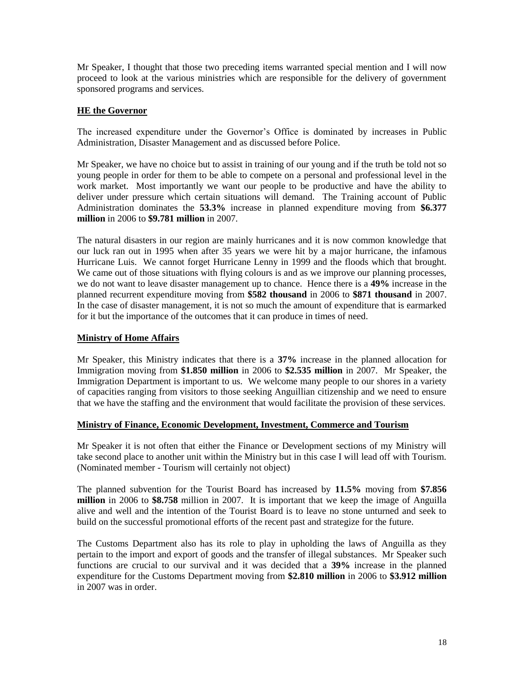Mr Speaker, I thought that those two preceding items warranted special mention and I will now proceed to look at the various ministries which are responsible for the delivery of government sponsored programs and services.

## **HE the Governor**

The increased expenditure under the Governor's Office is dominated by increases in Public Administration, Disaster Management and as discussed before Police.

Mr Speaker, we have no choice but to assist in training of our young and if the truth be told not so young people in order for them to be able to compete on a personal and professional level in the work market. Most importantly we want our people to be productive and have the ability to deliver under pressure which certain situations will demand. The Training account of Public Administration dominates the **53.3%** increase in planned expenditure moving from **\$6.377 million** in 2006 to **\$9.781 million** in 2007.

The natural disasters in our region are mainly hurricanes and it is now common knowledge that our luck ran out in 1995 when after 35 years we were hit by a major hurricane, the infamous Hurricane Luis. We cannot forget Hurricane Lenny in 1999 and the floods which that brought. We came out of those situations with flying colours is and as we improve our planning processes, we do not want to leave disaster management up to chance. Hence there is a **49%** increase in the planned recurrent expenditure moving from **\$582 thousand** in 2006 to **\$871 thousand** in 2007. In the case of disaster management, it is not so much the amount of expenditure that is earmarked for it but the importance of the outcomes that it can produce in times of need.

## **Ministry of Home Affairs**

Mr Speaker, this Ministry indicates that there is a **37%** increase in the planned allocation for Immigration moving from **\$1.850 million** in 2006 to **\$2.535 million** in 2007. Mr Speaker, the Immigration Department is important to us. We welcome many people to our shores in a variety of capacities ranging from visitors to those seeking Anguillian citizenship and we need to ensure that we have the staffing and the environment that would facilitate the provision of these services.

#### **Ministry of Finance, Economic Development, Investment, Commerce and Tourism**

Mr Speaker it is not often that either the Finance or Development sections of my Ministry will take second place to another unit within the Ministry but in this case I will lead off with Tourism. (Nominated member - Tourism will certainly not object)

The planned subvention for the Tourist Board has increased by **11.5%** moving from **\$7.856 million** in 2006 to **\$8.758** million in 2007. It is important that we keep the image of Anguilla alive and well and the intention of the Tourist Board is to leave no stone unturned and seek to build on the successful promotional efforts of the recent past and strategize for the future.

The Customs Department also has its role to play in upholding the laws of Anguilla as they pertain to the import and export of goods and the transfer of illegal substances. Mr Speaker such functions are crucial to our survival and it was decided that a **39%** increase in the planned expenditure for the Customs Department moving from **\$2.810 million** in 2006 to **\$3.912 million** in 2007 was in order.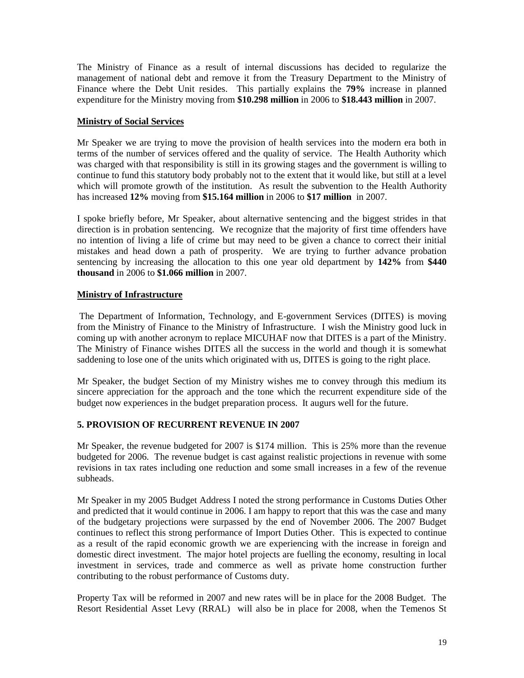The Ministry of Finance as a result of internal discussions has decided to regularize the management of national debt and remove it from the Treasury Department to the Ministry of Finance where the Debt Unit resides. This partially explains the **79%** increase in planned expenditure for the Ministry moving from **\$10.298 million** in 2006 to **\$18.443 million** in 2007.

#### **Ministry of Social Services**

Mr Speaker we are trying to move the provision of health services into the modern era both in terms of the number of services offered and the quality of service. The Health Authority which was charged with that responsibility is still in its growing stages and the government is willing to continue to fund this statutory body probably not to the extent that it would like, but still at a level which will promote growth of the institution. As result the subvention to the Health Authority has increased **12%** moving from **\$15.164 million** in 2006 to **\$17 million** in 2007.

I spoke briefly before, Mr Speaker, about alternative sentencing and the biggest strides in that direction is in probation sentencing. We recognize that the majority of first time offenders have no intention of living a life of crime but may need to be given a chance to correct their initial mistakes and head down a path of prosperity. We are trying to further advance probation sentencing by increasing the allocation to this one year old department by **142%** from **\$440 thousand** in 2006 to **\$1.066 million** in 2007.

#### **Ministry of Infrastructure**

The Department of Information, Technology, and E-government Services (DITES) is moving from the Ministry of Finance to the Ministry of Infrastructure. I wish the Ministry good luck in coming up with another acronym to replace MICUHAF now that DITES is a part of the Ministry. The Ministry of Finance wishes DITES all the success in the world and though it is somewhat saddening to lose one of the units which originated with us, DITES is going to the right place.

Mr Speaker, the budget Section of my Ministry wishes me to convey through this medium its sincere appreciation for the approach and the tone which the recurrent expenditure side of the budget now experiences in the budget preparation process. It augurs well for the future.

## **5. PROVISION OF RECURRENT REVENUE IN 2007**

Mr Speaker, the revenue budgeted for 2007 is \$174 million. This is 25% more than the revenue budgeted for 2006. The revenue budget is cast against realistic projections in revenue with some revisions in tax rates including one reduction and some small increases in a few of the revenue subheads.

Mr Speaker in my 2005 Budget Address I noted the strong performance in Customs Duties Other and predicted that it would continue in 2006. I am happy to report that this was the case and many of the budgetary projections were surpassed by the end of November 2006. The 2007 Budget continues to reflect this strong performance of Import Duties Other. This is expected to continue as a result of the rapid economic growth we are experiencing with the increase in foreign and domestic direct investment. The major hotel projects are fuelling the economy, resulting in local investment in services, trade and commerce as well as private home construction further contributing to the robust performance of Customs duty.

Property Tax will be reformed in 2007 and new rates will be in place for the 2008 Budget. The Resort Residential Asset Levy (RRAL) will also be in place for 2008, when the Temenos St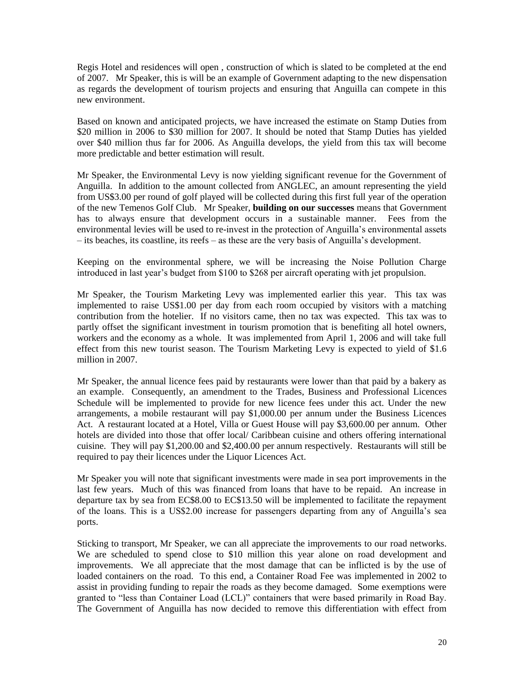Regis Hotel and residences will open , construction of which is slated to be completed at the end of 2007. Mr Speaker, this is will be an example of Government adapting to the new dispensation as regards the development of tourism projects and ensuring that Anguilla can compete in this new environment.

Based on known and anticipated projects, we have increased the estimate on Stamp Duties from \$20 million in 2006 to \$30 million for 2007. It should be noted that Stamp Duties has yielded over \$40 million thus far for 2006. As Anguilla develops, the yield from this tax will become more predictable and better estimation will result.

Mr Speaker, the Environmental Levy is now yielding significant revenue for the Government of Anguilla. In addition to the amount collected from ANGLEC, an amount representing the yield from US\$3.00 per round of golf played will be collected during this first full year of the operation of the new Temenos Golf Club. Mr Speaker, **building on our successes** means that Government has to always ensure that development occurs in a sustainable manner. Fees from the environmental levies will be used to re-invest in the protection of Anguilla's environmental assets – its beaches, its coastline, its reefs – as these are the very basis of Anguilla's development.

Keeping on the environmental sphere, we will be increasing the Noise Pollution Charge introduced in last year's budget from \$100 to \$268 per aircraft operating with jet propulsion.

Mr Speaker, the Tourism Marketing Levy was implemented earlier this year. This tax was implemented to raise US\$1.00 per day from each room occupied by visitors with a matching contribution from the hotelier. If no visitors came, then no tax was expected. This tax was to partly offset the significant investment in tourism promotion that is benefiting all hotel owners, workers and the economy as a whole. It was implemented from April 1, 2006 and will take full effect from this new tourist season. The Tourism Marketing Levy is expected to yield of \$1.6 million in 2007.

Mr Speaker, the annual licence fees paid by restaurants were lower than that paid by a bakery as an example. Consequently, an amendment to the Trades, Business and Professional Licences Schedule will be implemented to provide for new licence fees under this act. Under the new arrangements, a mobile restaurant will pay \$1,000.00 per annum under the Business Licences Act. A restaurant located at a Hotel, Villa or Guest House will pay \$3,600.00 per annum. Other hotels are divided into those that offer local/ Caribbean cuisine and others offering international cuisine. They will pay \$1,200.00 and \$2,400.00 per annum respectively. Restaurants will still be required to pay their licences under the Liquor Licences Act.

Mr Speaker you will note that significant investments were made in sea port improvements in the last few years. Much of this was financed from loans that have to be repaid. An increase in departure tax by sea from EC\$8.00 to EC\$13.50 will be implemented to facilitate the repayment of the loans. This is a US\$2.00 increase for passengers departing from any of Anguilla's sea ports.

Sticking to transport, Mr Speaker, we can all appreciate the improvements to our road networks. We are scheduled to spend close to \$10 million this year alone on road development and improvements. We all appreciate that the most damage that can be inflicted is by the use of loaded containers on the road. To this end, a Container Road Fee was implemented in 2002 to assist in providing funding to repair the roads as they become damaged. Some exemptions were granted to "less than Container Load (LCL)" containers that were based primarily in Road Bay. The Government of Anguilla has now decided to remove this differentiation with effect from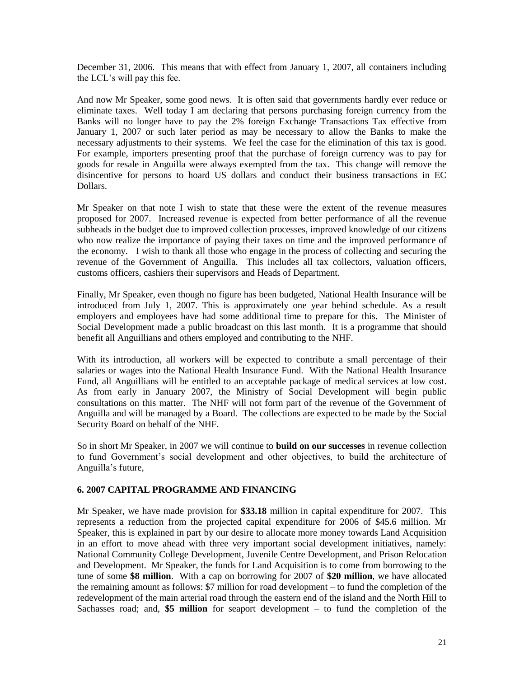December 31, 2006. This means that with effect from January 1, 2007, all containers including the LCL's will pay this fee.

And now Mr Speaker, some good news. It is often said that governments hardly ever reduce or eliminate taxes. Well today I am declaring that persons purchasing foreign currency from the Banks will no longer have to pay the 2% foreign Exchange Transactions Tax effective from January 1, 2007 or such later period as may be necessary to allow the Banks to make the necessary adjustments to their systems. We feel the case for the elimination of this tax is good. For example, importers presenting proof that the purchase of foreign currency was to pay for goods for resale in Anguilla were always exempted from the tax. This change will remove the disincentive for persons to hoard US dollars and conduct their business transactions in EC Dollars.

Mr Speaker on that note I wish to state that these were the extent of the revenue measures proposed for 2007. Increased revenue is expected from better performance of all the revenue subheads in the budget due to improved collection processes, improved knowledge of our citizens who now realize the importance of paying their taxes on time and the improved performance of the economy. I wish to thank all those who engage in the process of collecting and securing the revenue of the Government of Anguilla. This includes all tax collectors, valuation officers, customs officers, cashiers their supervisors and Heads of Department.

Finally, Mr Speaker, even though no figure has been budgeted, National Health Insurance will be introduced from July 1, 2007. This is approximately one year behind schedule. As a result employers and employees have had some additional time to prepare for this. The Minister of Social Development made a public broadcast on this last month. It is a programme that should benefit all Anguillians and others employed and contributing to the NHF.

With its introduction, all workers will be expected to contribute a small percentage of their salaries or wages into the National Health Insurance Fund. With the National Health Insurance Fund, all Anguillians will be entitled to an acceptable package of medical services at low cost. As from early in January 2007, the Ministry of Social Development will begin public consultations on this matter. The NHF will not form part of the revenue of the Government of Anguilla and will be managed by a Board. The collections are expected to be made by the Social Security Board on behalf of the NHF.

So in short Mr Speaker, in 2007 we will continue to **build on our successes** in revenue collection to fund Government's social development and other objectives, to build the architecture of Anguilla's future,

#### **6. 2007 CAPITAL PROGRAMME AND FINANCING**

Mr Speaker, we have made provision for **\$33.18** million in capital expenditure for 2007. This represents a reduction from the projected capital expenditure for 2006 of \$45.6 million. Mr Speaker, this is explained in part by our desire to allocate more money towards Land Acquisition in an effort to move ahead with three very important social development initiatives, namely: National Community College Development, Juvenile Centre Development, and Prison Relocation and Development. Mr Speaker, the funds for Land Acquisition is to come from borrowing to the tune of some **\$8 million**. With a cap on borrowing for 2007 of **\$20 million**, we have allocated the remaining amount as follows: \$7 million for road development – to fund the completion of the redevelopment of the main arterial road through the eastern end of the island and the North Hill to Sachasses road; and, **\$5 million** for seaport development – to fund the completion of the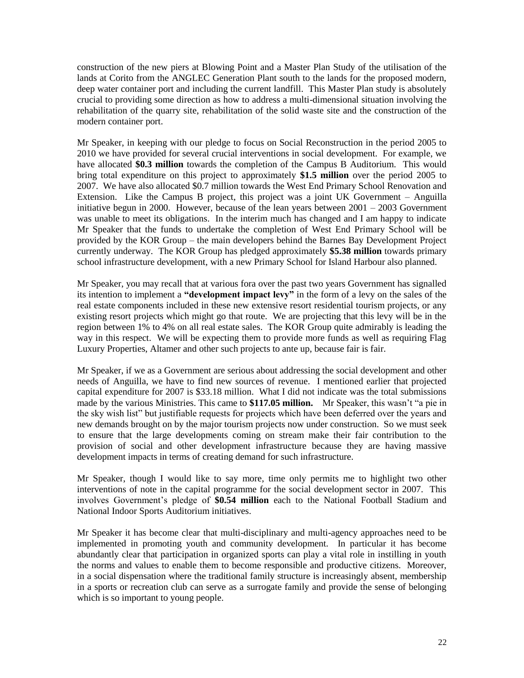construction of the new piers at Blowing Point and a Master Plan Study of the utilisation of the lands at Corito from the ANGLEC Generation Plant south to the lands for the proposed modern, deep water container port and including the current landfill. This Master Plan study is absolutely crucial to providing some direction as how to address a multi-dimensional situation involving the rehabilitation of the quarry site, rehabilitation of the solid waste site and the construction of the modern container port.

Mr Speaker, in keeping with our pledge to focus on Social Reconstruction in the period 2005 to 2010 we have provided for several crucial interventions in social development. For example, we have allocated **\$0.3 million** towards the completion of the Campus B Auditorium. This would bring total expenditure on this project to approximately **\$1.5 million** over the period 2005 to 2007. We have also allocated \$0.7 million towards the West End Primary School Renovation and Extension. Like the Campus B project, this project was a joint UK Government – Anguilla initiative begun in 2000. However, because of the lean years between 2001 – 2003 Government was unable to meet its obligations. In the interim much has changed and I am happy to indicate Mr Speaker that the funds to undertake the completion of West End Primary School will be provided by the KOR Group – the main developers behind the Barnes Bay Development Project currently underway. The KOR Group has pledged approximately **\$5.38 million** towards primary school infrastructure development, with a new Primary School for Island Harbour also planned.

Mr Speaker, you may recall that at various fora over the past two years Government has signalled its intention to implement a **"development impact levy"** in the form of a levy on the sales of the real estate components included in these new extensive resort residential tourism projects, or any existing resort projects which might go that route. We are projecting that this levy will be in the region between 1% to 4% on all real estate sales. The KOR Group quite admirably is leading the way in this respect. We will be expecting them to provide more funds as well as requiring Flag Luxury Properties, Altamer and other such projects to ante up, because fair is fair.

Mr Speaker, if we as a Government are serious about addressing the social development and other needs of Anguilla, we have to find new sources of revenue. I mentioned earlier that projected capital expenditure for 2007 is \$33.18 million. What I did not indicate was the total submissions made by the various Ministries. This came to **\$117.05 million.** Mr Speaker, this wasn't "a pie in the sky wish list" but justifiable requests for projects which have been deferred over the years and new demands brought on by the major tourism projects now under construction. So we must seek to ensure that the large developments coming on stream make their fair contribution to the provision of social and other development infrastructure because they are having massive development impacts in terms of creating demand for such infrastructure.

Mr Speaker, though I would like to say more, time only permits me to highlight two other interventions of note in the capital programme for the social development sector in 2007. This involves Government's pledge of **\$0.54 million** each to the National Football Stadium and National Indoor Sports Auditorium initiatives.

Mr Speaker it has become clear that multi-disciplinary and multi-agency approaches need to be implemented in promoting youth and community development. In particular it has become abundantly clear that participation in organized sports can play a vital role in instilling in youth the norms and values to enable them to become responsible and productive citizens. Moreover, in a social dispensation where the traditional family structure is increasingly absent, membership in a sports or recreation club can serve as a surrogate family and provide the sense of belonging which is so important to young people.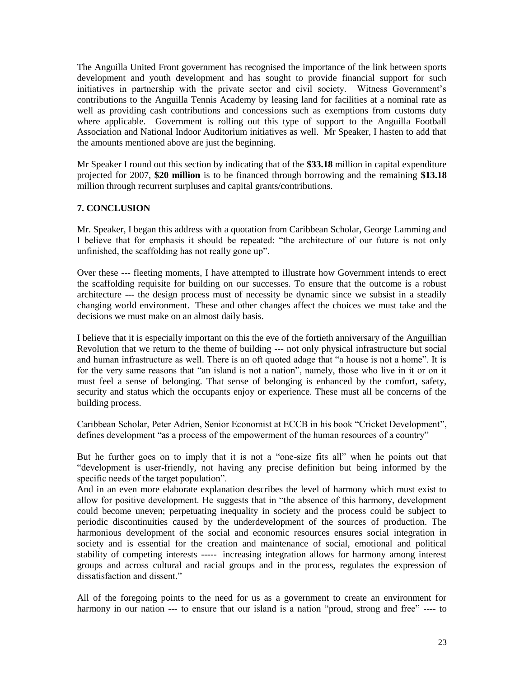The Anguilla United Front government has recognised the importance of the link between sports development and youth development and has sought to provide financial support for such initiatives in partnership with the private sector and civil society. Witness Government's contributions to the Anguilla Tennis Academy by leasing land for facilities at a nominal rate as well as providing cash contributions and concessions such as exemptions from customs duty where applicable. Government is rolling out this type of support to the Anguilla Football Association and National Indoor Auditorium initiatives as well. Mr Speaker, I hasten to add that the amounts mentioned above are just the beginning.

Mr Speaker I round out this section by indicating that of the **\$33.18** million in capital expenditure projected for 2007, **\$20 million** is to be financed through borrowing and the remaining **\$13.18** million through recurrent surpluses and capital grants/contributions.

## **7. CONCLUSION**

Mr. Speaker, I began this address with a quotation from Caribbean Scholar, George Lamming and I believe that for emphasis it should be repeated: "the architecture of our future is not only unfinished, the scaffolding has not really gone up".

Over these --- fleeting moments, I have attempted to illustrate how Government intends to erect the scaffolding requisite for building on our successes. To ensure that the outcome is a robust architecture --- the design process must of necessity be dynamic since we subsist in a steadily changing world environment. These and other changes affect the choices we must take and the decisions we must make on an almost daily basis.

I believe that it is especially important on this the eve of the fortieth anniversary of the Anguillian Revolution that we return to the theme of building --- not only physical infrastructure but social and human infrastructure as well. There is an oft quoted adage that "a house is not a home". It is for the very same reasons that "an island is not a nation", namely, those who live in it or on it must feel a sense of belonging. That sense of belonging is enhanced by the comfort, safety, security and status which the occupants enjoy or experience. These must all be concerns of the building process.

Caribbean Scholar, Peter Adrien, Senior Economist at ECCB in his book "Cricket Development", defines development "as a process of the empowerment of the human resources of a country"

But he further goes on to imply that it is not a "one-size fits all" when he points out that "development is user-friendly, not having any precise definition but being informed by the specific needs of the target population".

And in an even more elaborate explanation describes the level of harmony which must exist to allow for positive development. He suggests that in "the absence of this harmony, development could become uneven; perpetuating inequality in society and the process could be subject to periodic discontinuities caused by the underdevelopment of the sources of production. The harmonious development of the social and economic resources ensures social integration in society and is essential for the creation and maintenance of social, emotional and political stability of competing interests ----- increasing integration allows for harmony among interest groups and across cultural and racial groups and in the process, regulates the expression of dissatisfaction and dissent."

All of the foregoing points to the need for us as a government to create an environment for harmony in our nation --- to ensure that our island is a nation "proud, strong and free" ---- to